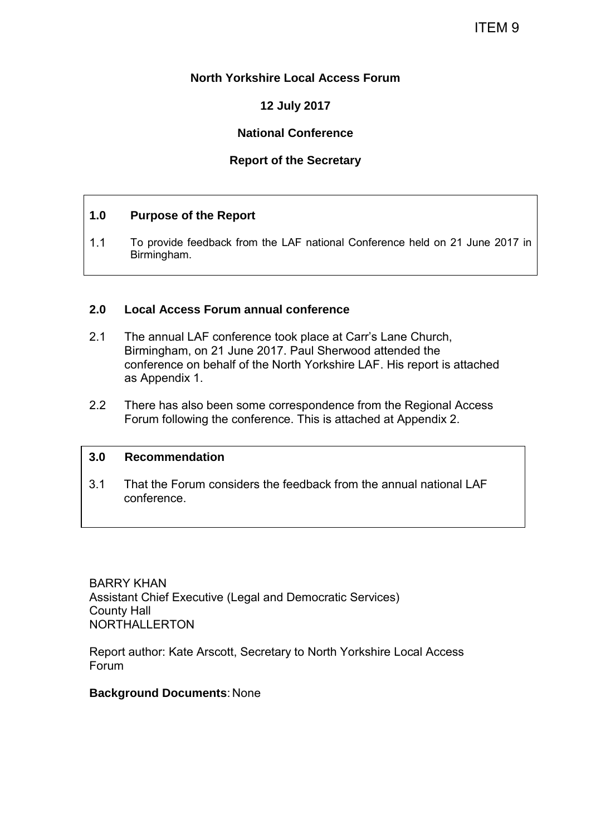## **North Yorkshire Local Access Forum**

# **12 July 2017**

# **National Conference**

## **Report of the Secretary**

## **1.0 Purpose of the Report**

1.1 To provide feedback from the LAF national Conference held on 21 June 2017 in Birmingham.

### **2.0 Local Access Forum annual conference**

- 2.1 The annual LAF conference took place at Carr's Lane Church, Birmingham, on 21 June 2017. Paul Sherwood attended the conference on behalf of the North Yorkshire LAF. His report is attached as Appendix 1.
- 2.2 There has also been some correspondence from the Regional Access Forum following the conference. This is attached at Appendix 2.

### **3.0 Recommendation**

3.1 That the Forum considers the feedback from the annual national LAF conference.

BARRY KHAN Assistant Chief Executive (Legal and Democratic Services) County Hall NORTHALLERTON

Report author: Kate Arscott, Secretary to North Yorkshire Local Access Forum

### **Background Documents**: None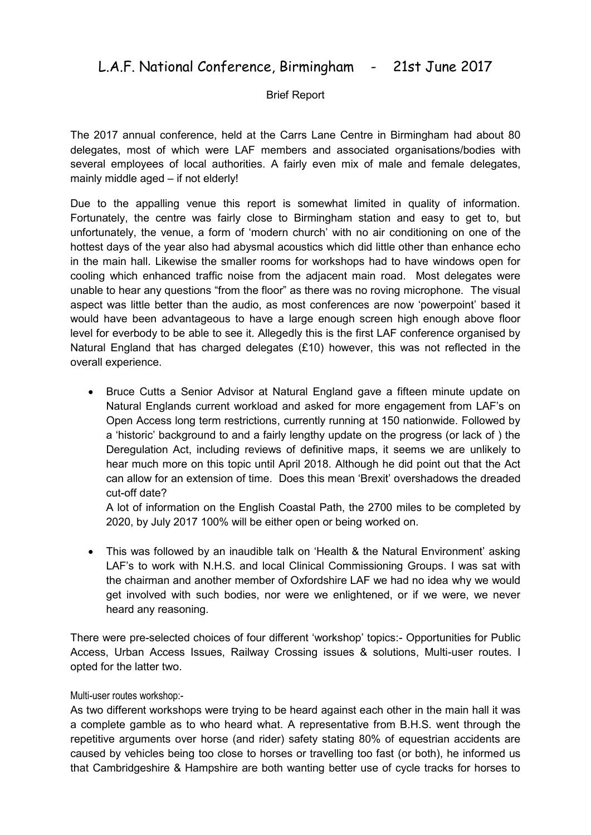# L.A.F. National Conference, Birmingham - 21st June 2017

## Brief Report

The 2017 annual conference, held at the Carrs Lane Centre in Birmingham had about 80 delegates, most of which were LAF members and associated organisations/bodies with several employees of local authorities. A fairly even mix of male and female delegates, mainly middle aged – if not elderly!

Due to the appalling venue this report is somewhat limited in quality of information. Fortunately, the centre was fairly close to Birmingham station and easy to get to, but unfortunately, the venue, a form of 'modern church' with no air conditioning on one of the hottest days of the year also had abysmal acoustics which did little other than enhance echo in the main hall. Likewise the smaller rooms for workshops had to have windows open for cooling which enhanced traffic noise from the adjacent main road. Most delegates were unable to hear any questions "from the floor" as there was no roving microphone. The visual aspect was little better than the audio, as most conferences are now 'powerpoint' based it would have been advantageous to have a large enough screen high enough above floor level for everbody to be able to see it. Allegedly this is the first LAF conference organised by Natural England that has charged delegates  $(E10)$  however, this was not reflected in the overall experience.

 Bruce Cutts a Senior Advisor at Natural England gave a fifteen minute update on Natural Englands current workload and asked for more engagement from LAF's on Open Access long term restrictions, currently running at 150 nationwide. Followed by a 'historic' background to and a fairly lengthy update on the progress (or lack of ) the Deregulation Act, including reviews of definitive maps, it seems we are unlikely to hear much more on this topic until April 2018. Although he did point out that the Act can allow for an extension of time. Does this mean 'Brexit' overshadows the dreaded cut-off date?

A lot of information on the English Coastal Path, the 2700 miles to be completed by 2020, by July 2017 100% will be either open or being worked on.

• This was followed by an inaudible talk on 'Health & the Natural Environment' asking LAF's to work with N.H.S. and local Clinical Commissioning Groups. I was sat with the chairman and another member of Oxfordshire LAF we had no idea why we would get involved with such bodies, nor were we enlightened, or if we were, we never heard any reasoning.

There were pre-selected choices of four different 'workshop' topics:- Opportunities for Public Access, Urban Access Issues, Railway Crossing issues & solutions, Multi-user routes. I opted for the latter two.

### Multi-user routes workshop:-

As two different workshops were trying to be heard against each other in the main hall it was a complete gamble as to who heard what. A representative from B.H.S. went through the repetitive arguments over horse (and rider) safety stating 80% of equestrian accidents are caused by vehicles being too close to horses or travelling too fast (or both), he informed us that Cambridgeshire & Hampshire are both wanting better use of cycle tracks for horses to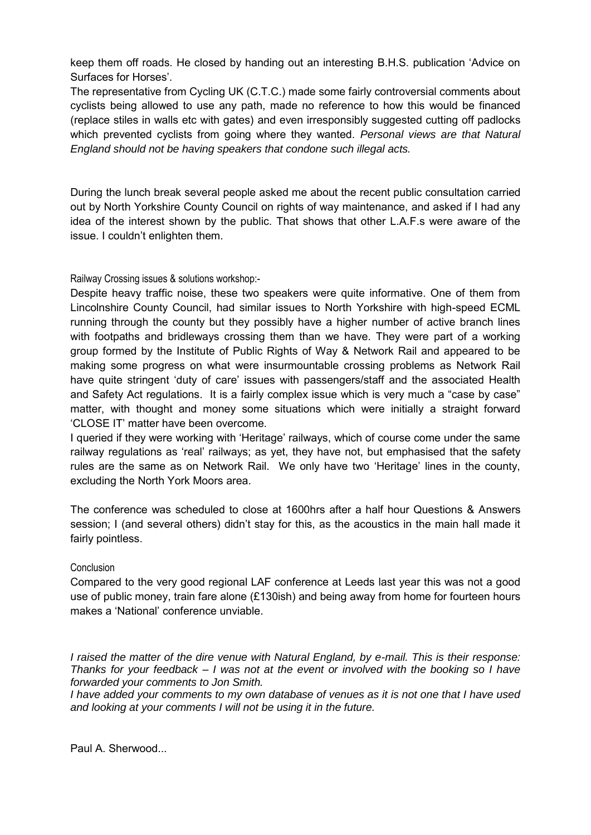keep them off roads. He closed by handing out an interesting B.H.S. publication 'Advice on Surfaces for Horses'.

The representative from Cycling UK (C.T.C.) made some fairly controversial comments about cyclists being allowed to use any path, made no reference to how this would be financed (replace stiles in walls etc with gates) and even irresponsibly suggested cutting off padlocks which prevented cyclists from going where they wanted. *Personal views are that Natural England should not be having speakers that condone such illegal acts.* 

During the lunch break several people asked me about the recent public consultation carried out by North Yorkshire County Council on rights of way maintenance, and asked if I had any idea of the interest shown by the public. That shows that other L.A.F.s were aware of the issue. I couldn't enlighten them.

### Railway Crossing issues & solutions workshop:-

Despite heavy traffic noise, these two speakers were quite informative. One of them from Lincolnshire County Council, had similar issues to North Yorkshire with high-speed ECML running through the county but they possibly have a higher number of active branch lines with footpaths and bridleways crossing them than we have. They were part of a working group formed by the Institute of Public Rights of Way & Network Rail and appeared to be making some progress on what were insurmountable crossing problems as Network Rail have quite stringent 'duty of care' issues with passengers/staff and the associated Health and Safety Act regulations. It is a fairly complex issue which is very much a "case by case" matter, with thought and money some situations which were initially a straight forward 'CLOSE IT' matter have been overcome.

I queried if they were working with 'Heritage' railways, which of course come under the same railway regulations as 'real' railways; as yet, they have not, but emphasised that the safety rules are the same as on Network Rail. We only have two 'Heritage' lines in the county, excluding the North York Moors area.

The conference was scheduled to close at 1600hrs after a half hour Questions & Answers session; I (and several others) didn't stay for this, as the acoustics in the main hall made it fairly pointless.

#### **Conclusion**

Compared to the very good regional LAF conference at Leeds last year this was not a good use of public money, train fare alone (£130ish) and being away from home for fourteen hours makes a 'National' conference unviable.

*I raised the matter of the dire venue with Natural England, by e-mail. This is their response: Thanks for your feedback – I was not at the event or involved with the booking so I have forwarded your comments to Jon Smith.* 

*I have added your comments to my own database of venues as it is not one that I have used and looking at your comments I will not be using it in the future.*

Paul A. Sherwood...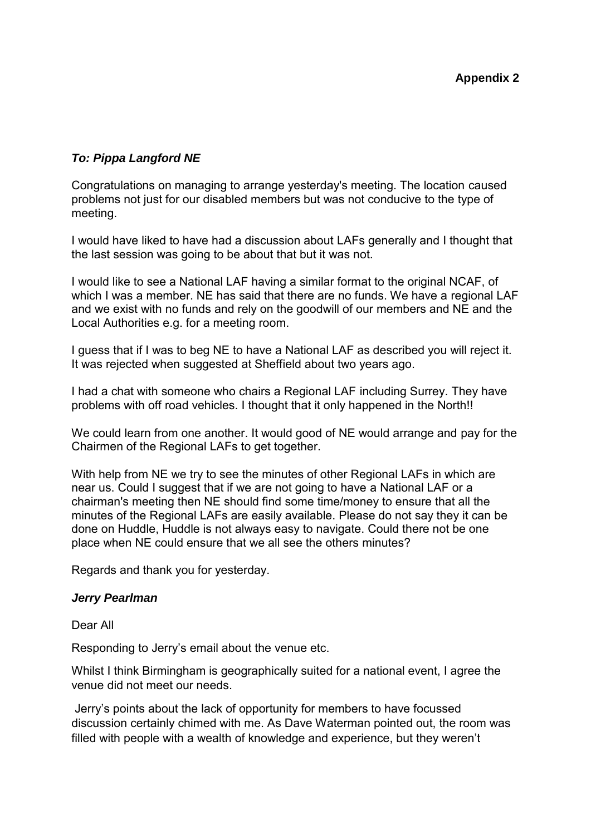# *To: Pippa Langford NE*

Congratulations on managing to arrange yesterday's meeting. The location caused problems not just for our disabled members but was not conducive to the type of meeting.

I would have liked to have had a discussion about LAFs generally and I thought that the last session was going to be about that but it was not.

I would like to see a National LAF having a similar format to the original NCAF, of which I was a member. NE has said that there are no funds. We have a regional LAF and we exist with no funds and rely on the goodwill of our members and NE and the Local Authorities e.g. for a meeting room.

I guess that if I was to beg NE to have a National LAF as described you will reject it. It was rejected when suggested at Sheffield about two years ago.

I had a chat with someone who chairs a Regional LAF including Surrey. They have problems with off road vehicles. I thought that it only happened in the North!!

We could learn from one another. It would good of NE would arrange and pay for the Chairmen of the Regional LAFs to get together.

With help from NE we try to see the minutes of other Regional LAFs in which are near us. Could I suggest that if we are not going to have a National LAF or a chairman's meeting then NE should find some time/money to ensure that all the minutes of the Regional LAFs are easily available. Please do not say they it can be done on Huddle, Huddle is not always easy to navigate. Could there not be one place when NE could ensure that we all see the others minutes?

Regards and thank you for yesterday.

## *Jerry Pearlman*

Dear All

Responding to Jerry's email about the venue etc.

Whilst I think Birmingham is geographically suited for a national event, I agree the venue did not meet our needs.

 Jerry's points about the lack of opportunity for members to have focussed discussion certainly chimed with me. As Dave Waterman pointed out, the room was filled with people with a wealth of knowledge and experience, but they weren't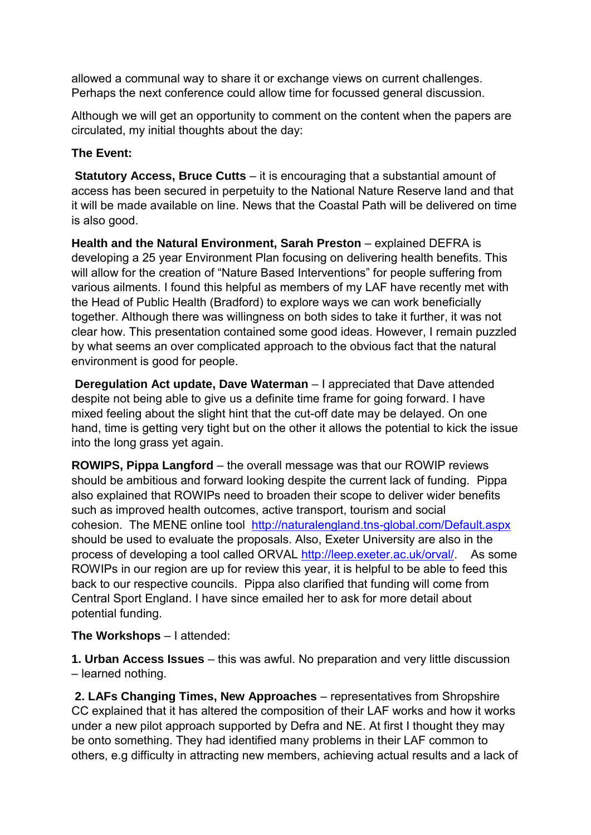allowed a communal way to share it or exchange views on current challenges. Perhaps the next conference could allow time for focussed general discussion.

Although we will get an opportunity to comment on the content when the papers are circulated, my initial thoughts about the day:

## **The Event:**

**Statutory Access, Bruce Cutts** – it is encouraging that a substantial amount of access has been secured in perpetuity to the National Nature Reserve land and that it will be made available on line. News that the Coastal Path will be delivered on time is also good.

**Health and the Natural Environment, Sarah Preston** – explained DEFRA is developing a 25 year Environment Plan focusing on delivering health benefits. This will allow for the creation of "Nature Based Interventions" for people suffering from various ailments. I found this helpful as members of my LAF have recently met with the Head of Public Health (Bradford) to explore ways we can work beneficially together. Although there was willingness on both sides to take it further, it was not clear how. This presentation contained some good ideas. However, I remain puzzled by what seems an over complicated approach to the obvious fact that the natural environment is good for people.

**Deregulation Act update, Dave Waterman** – I appreciated that Dave attended despite not being able to give us a definite time frame for going forward. I have mixed feeling about the slight hint that the cut-off date may be delayed. On one hand, time is getting very tight but on the other it allows the potential to kick the issue into the long grass yet again.

**ROWIPS, Pippa Langford** – the overall message was that our ROWIP reviews should be ambitious and forward looking despite the current lack of funding. Pippa also explained that ROWIPs need to broaden their scope to deliver wider benefits such as improved health outcomes, active transport, tourism and social cohesion. The MENE online tool [http://naturalengland.tns-global.com/Default.aspx](http://scanmail.trustwave.com/?c=2863&d=1vnd2eHGdMkbOogCBxxgD-4EnZfzLiHQVNAWeucMaw&u=http%3a%2f%2fnaturalengland%2etns-global%2ecom%2fDefault%2easpx) should be used to evaluate the proposals. Also, Exeter University are also in the process of developing a tool called ORVAL [http://leep.exeter.ac.uk/orval/.](http://leep.exeter.ac.uk/orval/) As some ROWIPs in our region are up for review this year, it is helpful to be able to feed this back to our respective councils. Pippa also clarified that funding will come from Central Sport England. I have since emailed her to ask for more detail about potential funding.

**The Workshops** – I attended:

**1. Urban Access Issues** – this was awful. No preparation and very little discussion – learned nothing.

**2. LAFs Changing Times, New Approaches** – representatives from Shropshire CC explained that it has altered the composition of their LAF works and how it works under a new pilot approach supported by Defra and NE. At first I thought they may be onto something. They had identified many problems in their LAF common to others, e.g difficulty in attracting new members, achieving actual results and a lack of